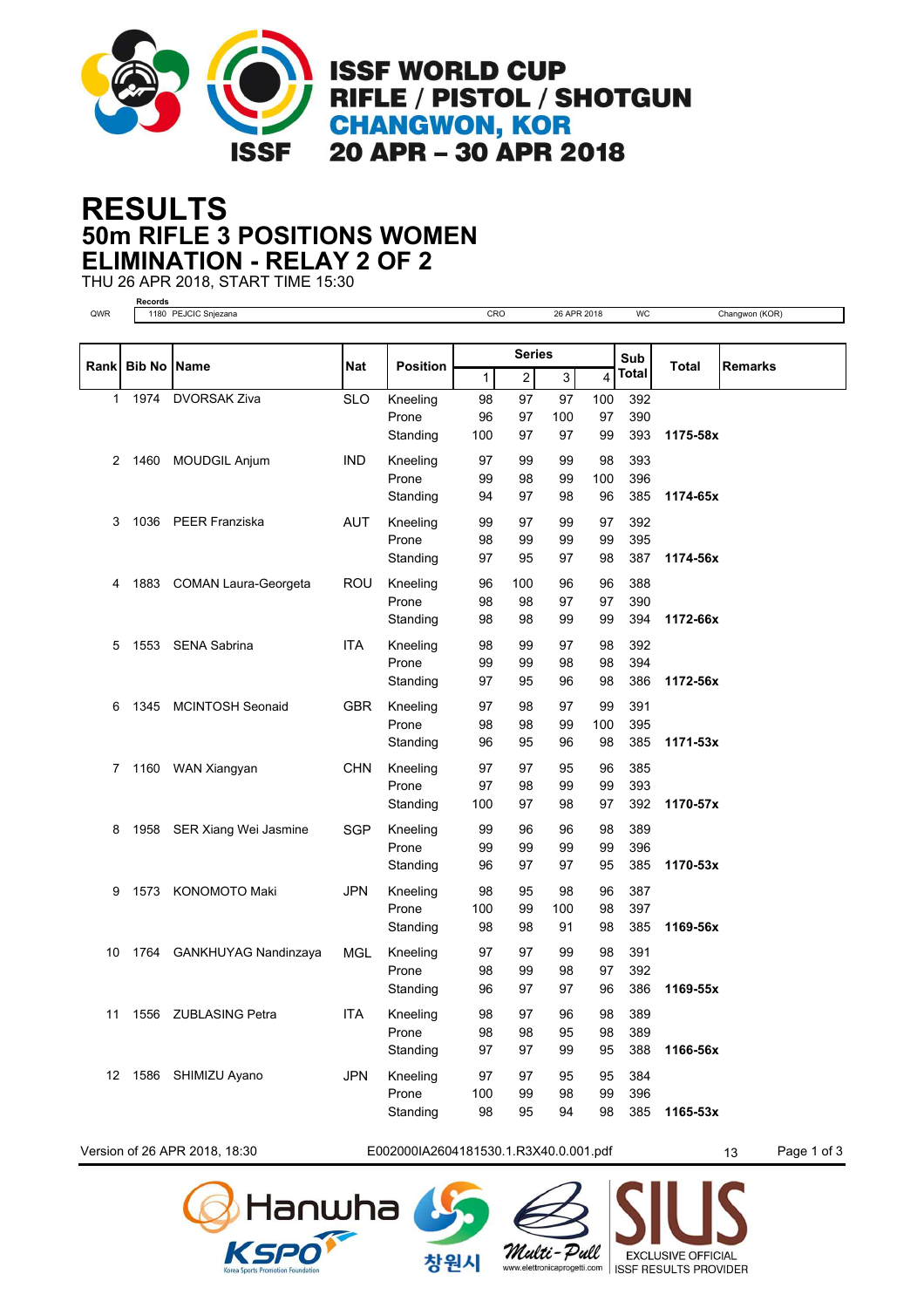

## **50m RIFLE 3 POSITIONS WOMEN RESULTS ELIMINATION - RELAY 2 OF 2**

THU 26 APR 2018, START TIME 15:30



Version of 26 APR 2018, 18:30 **E002000IA2604181530.1.R3X40.0.001.pdf** 13 Page 1 of 3

창워시



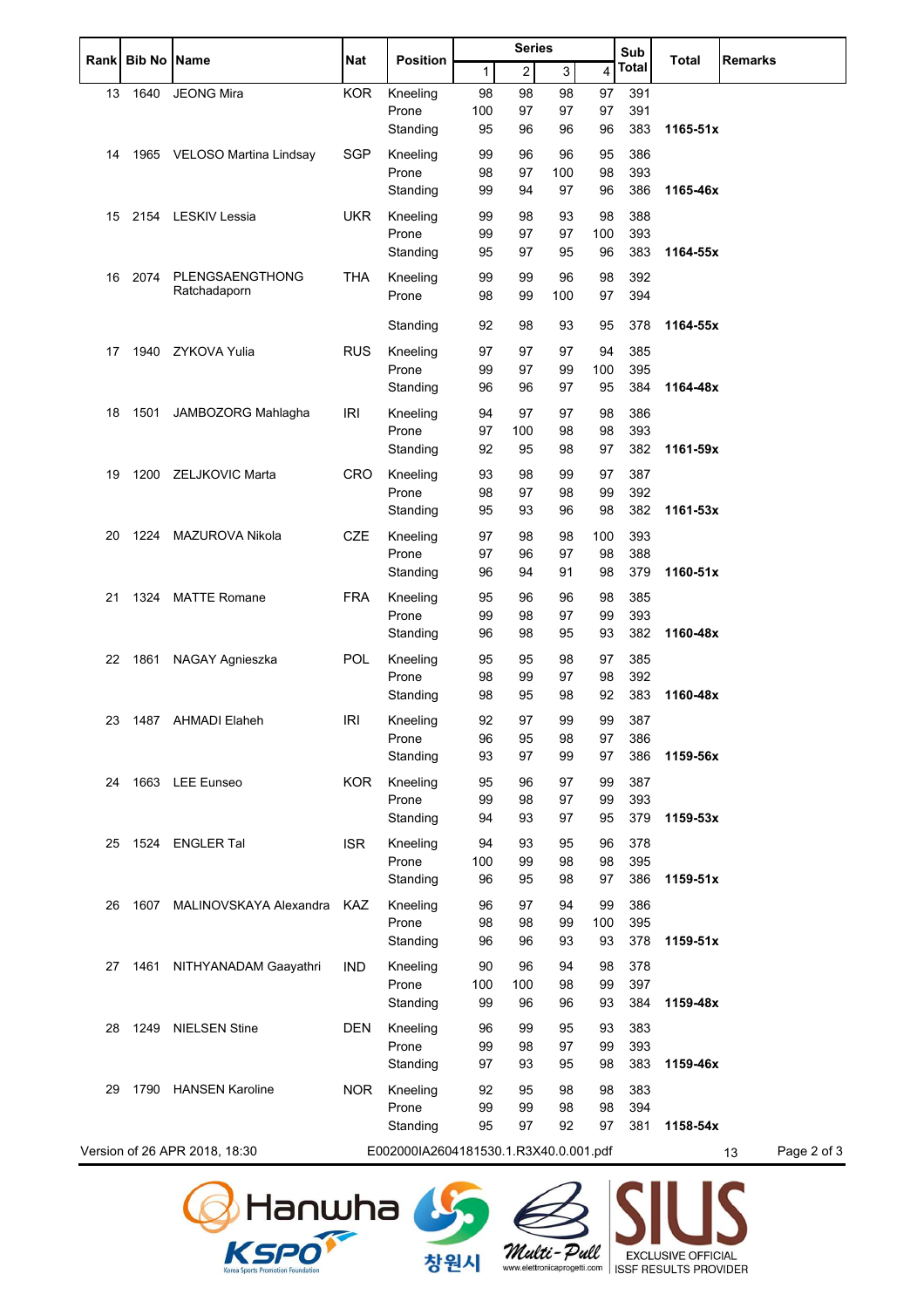| Rankl | Bib No | <b>Name</b>                   | Nat        | <b>Position</b>                       | <b>Series</b> |                |     | Sub | Total        | <b>Remarks</b> |                   |
|-------|--------|-------------------------------|------------|---------------------------------------|---------------|----------------|-----|-----|--------------|----------------|-------------------|
|       |        |                               |            |                                       | 1             | $\overline{2}$ | 3   | 4   | <b>Total</b> |                |                   |
| 13    | 1640   | <b>JEONG Mira</b>             | <b>KOR</b> | Kneeling                              | 98            | 98             | 98  | 97  | 391          |                |                   |
|       |        |                               |            | Prone                                 | 100           | 97             | 97  | 97  | 391          |                |                   |
|       |        |                               |            | Standing                              | 95            | 96             | 96  | 96  | 383          | 1165-51x       |                   |
| 14    |        | 1965 VELOSO Martina Lindsay   | <b>SGP</b> | Kneeling                              | 99            | 96             | 96  | 95  | 386          |                |                   |
|       |        |                               |            | Prone                                 | 98            | 97             | 100 | 98  | 393          |                |                   |
|       |        |                               |            | Standing                              | 99            | 94             | 97  | 96  | 386          | 1165-46x       |                   |
| 15    |        | 2154 LESKIV Lessia            | <b>UKR</b> | Kneeling                              | 99            | 98             | 93  | 98  | 388          |                |                   |
|       |        |                               |            | Prone                                 | 99            | 97             | 97  | 100 | 393          |                |                   |
|       |        |                               |            | Standing                              | 95            | 97             | 95  | 96  | 383          | 1164-55x       |                   |
| 16    | 2074   | PLENGSAENGTHONG               | <b>THA</b> | Kneeling                              | 99            | 99             | 96  | 98  | 392          |                |                   |
|       |        | Ratchadaporn                  |            | Prone                                 | 98            | 99             | 100 | 97  | 394          |                |                   |
|       |        |                               |            |                                       |               |                |     |     |              |                |                   |
|       |        |                               |            | Standing                              | 92            | 98             | 93  | 95  | 378          | 1164-55x       |                   |
| 17    |        | 1940 ZYKOVA Yulia             | <b>RUS</b> | Kneeling                              | 97            | 97             | 97  | 94  | 385          |                |                   |
|       |        |                               |            | Prone                                 | 99            | 97             | 99  | 100 | 395          |                |                   |
|       |        |                               |            | Standing                              | 96            | 96             | 97  | 95  | 384          | 1164-48x       |                   |
| 18    | 1501   | JAMBOZORG Mahlagha            | <b>IRI</b> | Kneeling                              | 94            | 97             | 97  | 98  | 386          |                |                   |
|       |        |                               |            | Prone                                 | 97            | 100            | 98  | 98  | 393          |                |                   |
|       |        |                               |            | Standing                              | 92            | 95             | 98  | 97  | 382          | 1161-59x       |                   |
| 19    | 1200   | ZELJKOVIC Marta               | <b>CRO</b> | Kneeling                              | 93            | 98             | 99  | 97  | 387          |                |                   |
|       |        |                               |            | Prone                                 | 98            | 97             | 98  | 99  | 392          |                |                   |
|       |        |                               |            | Standing                              | 95            | 93             | 96  | 98  | 382          | 1161-53x       |                   |
| 20    |        | 1224 MAZUROVA Nikola          | <b>CZE</b> | Kneeling                              | 97            | 98             | 98  | 100 | 393          |                |                   |
|       |        |                               |            | Prone                                 | 97            | 96             | 97  | 98  | 388          |                |                   |
|       |        |                               |            | Standing                              | 96            | 94             | 91  | 98  | 379          | 1160-51x       |                   |
| 21    |        | 1324 MATTE Romane             | FRA        | Kneeling                              | 95            | 96             | 96  | 98  | 385          |                |                   |
|       |        |                               |            | Prone                                 | 99            | 98             | 97  | 99  | 393          |                |                   |
|       |        |                               |            | Standing                              | 96            | 98             | 95  | 93  | 382          | 1160-48x       |                   |
| 22    | 1861   | NAGAY Agnieszka               | <b>POL</b> | Kneeling                              | 95            | 95             | 98  | 97  | 385          |                |                   |
|       |        |                               |            | Prone                                 | 98            | 99             | 97  | 98  | 392          |                |                   |
|       |        |                               |            | Standing                              | 98            | 95             | 98  | 92  | 383          | 1160-48x       |                   |
| 23    |        | 1487 AHMADI Elaheh            | <b>IRI</b> | Kneeling                              | 92            | 97             | 99  | 99  | 387          |                |                   |
|       |        |                               |            | Prone                                 | 96            | 95             | 98  | 97  | 386          |                |                   |
|       |        |                               |            | Standing                              | 93            | 97             | 99  | 97  | 386          | 1159-56x       |                   |
| 24    |        | 1663 LEE Eunseo               | <b>KOR</b> | Kneeling                              | 95            | 96             | 97  | 99  | 387          |                |                   |
|       |        |                               |            | Prone                                 | 99            | 98             | 97  | 99  | 393          |                |                   |
|       |        |                               |            | Standing                              | 94            | 93             | 97  | 95  | 379          | 1159-53x       |                   |
| 25    |        | 1524 ENGLER Tal               | <b>ISR</b> | Kneeling                              | 94            | 93             | 95  | 96  | 378          |                |                   |
|       |        |                               |            | Prone                                 | 100           | 99             | 98  | 98  | 395          |                |                   |
|       |        |                               |            | Standing                              | 96            | 95             | 98  | 97  | 386          | 1159-51x       |                   |
| 26    | 1607   | MALINOVSKAYA Alexandra KAZ    |            | Kneeling                              | 96            | 97             | 94  | 99  | 386          |                |                   |
|       |        |                               |            | Prone                                 | 98            | 98             | 99  | 100 | 395          |                |                   |
|       |        |                               |            | Standing                              | 96            | 96             | 93  | 93  | 378          | $1159 - 51x$   |                   |
| 27    | 1461   | NITHYANADAM Gaayathri         | <b>IND</b> | Kneeling                              | 90            | 96             | 94  | 98  | 378          |                |                   |
|       |        |                               |            | Prone                                 | 100           | 100            | 98  | 99  | 397          |                |                   |
|       |        |                               |            | Standing                              | 99            | 96             | 96  | 93  | 384          | 1159-48x       |                   |
| 28    | 1249   | <b>NIELSEN Stine</b>          | DEN        | Kneeling                              | 96            | 99             | 95  | 93  | 383          |                |                   |
|       |        |                               |            | Prone                                 | 99            | 98             | 97  | 99  | 393          |                |                   |
|       |        |                               |            | Standing                              | 97            | 93             | 95  | 98  | 383          | 1159-46x       |                   |
| 29    | 1790   | <b>HANSEN Karoline</b>        | <b>NOR</b> | Kneeling                              | 92            | 95             | 98  | 98  | 383          |                |                   |
|       |        |                               |            | Prone                                 | 99            | 99             | 98  | 98  | 394          |                |                   |
|       |        |                               |            | Standing                              | 95            | 97             | 92  | 97  | 381          | 1158-54x       |                   |
|       |        | Version of 26 APR 2018, 18:30 |            | E002000IA2604181530.1.R3X40.0.001.pdf |               |                |     |     |              |                | Page 2 of 3<br>13 |
|       |        |                               |            |                                       |               |                |     |     |              |                |                   |

창원시